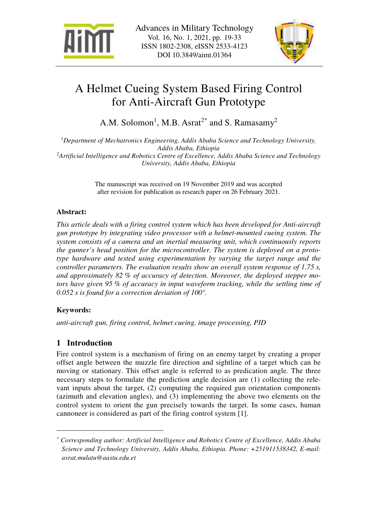



# A Helmet Cueing System Based Firing Control for Anti-Aircraft Gun Prototype

A.M. Solomon<sup>1</sup>, M.B. Asrat<sup>2\*</sup> and S. Ramasamy<sup>2</sup>

<sup>1</sup>*Department of Mechatronics Engineering, Addis Ababa Science and Technology University, Addis Ababa, Ethiopia*  <sup>2</sup>*Artificial Intelligence and Robotics Centre of Excellence, Addis Ababa Science and Technology University, Addis Ababa, Ethiopia* 

> The manuscript was received on 19 November 2019 and was accepted after revision for publication as research paper on 26 February 2021.

# **Abstract:**

*This article deals with a firing control system which has been developed for Anti-aircraft gun prototype by integrating video processor with a helmet-mounted cueing system. The system consists of a camera and an inertial measuring unit, which continuously reports the gunner's head position for the microcontroller. The system is deployed on a prototype hardware and tested using experimentation by varying the target range and the controller parameters. The evaluation results show an overall system response of 1.75 s, and approximately 82 % of accuracy of detection. Moreover, the deployed stepper motors have given 95 % of accuracy in input waveform tracking, while the settling time of 0.052 s is found for a correction deviation of 100°.* 

# **Keywords:**

 $\overline{a}$ 

*anti-aircraft gun, firing control, helmet cueing, image processing, PID* 

# **1 Introduction**

Fire control system is a mechanism of firing on an enemy target by creating a proper offset angle between the muzzle fire direction and sightline of a target which can be moving or stationary. This offset angle is referred to as predication angle. The three necessary steps to formulate the prediction angle decision are (1) collecting the relevant inputs about the target, (2) computing the required gun orientation components (azimuth and elevation angles), and (3) implementing the above two elements on the control system to orient the gun precisely towards the target. In some cases, human cannoneer is considered as part of the firing control system [1].

*<sup>\*</sup> Corresponding author: Artificial Intelligence and Robotics Centre of Excellence, Addis Ababa Science and Technology University, Addis Ababa, Ethiopia. Phone: +251911538342, E-mail: asrat.mulatu@aastu.edu.et*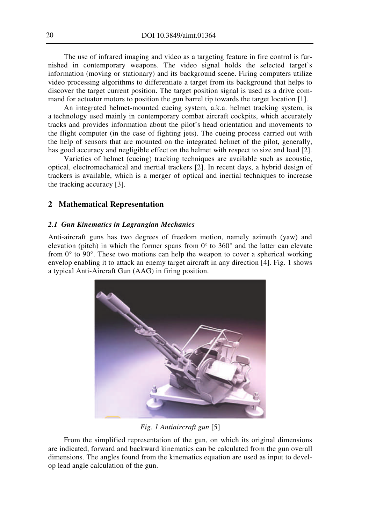The use of infrared imaging and video as a targeting feature in fire control is furnished in contemporary weapons. The video signal holds the selected target's information (moving or stationary) and its background scene. Firing computers utilize video processing algorithms to differentiate a target from its background that helps to discover the target current position. The target position signal is used as a drive command for actuator motors to position the gun barrel tip towards the target location [1].

An integrated helmet-mounted cueing system, a.k.a. helmet tracking system, is a technology used mainly in contemporary combat aircraft cockpits, which accurately tracks and provides information about the pilot's head orientation and movements to the flight computer (in the case of fighting jets). The cueing process carried out with the help of sensors that are mounted on the integrated helmet of the pilot, generally, has good accuracy and negligible effect on the helmet with respect to size and load [2].

Varieties of helmet (cueing) tracking techniques are available such as acoustic, optical, electromechanical and inertial trackers [2]. In recent days, a hybrid design of trackers is available, which is a merger of optical and inertial techniques to increase the tracking accuracy [3].

#### **2 Mathematical Representation**

#### *2.1 Gun Kinematics in Lagrangian Mechanics*

Anti-aircraft guns has two degrees of freedom motion, namely azimuth (yaw) and elevation (pitch) in which the former spans from  $0^{\circ}$  to  $360^{\circ}$  and the latter can elevate from  $0^{\circ}$  to  $90^{\circ}$ . These two motions can help the weapon to cover a spherical working envelop enabling it to attack an enemy target aircraft in any direction [4]. Fig. 1 shows a typical Anti-Aircraft Gun (AAG) in firing position.



#### *Fig. 1 Antiaircraft gun* [5]

From the simplified representation of the gun, on which its original dimensions are indicated, forward and backward kinematics can be calculated from the gun overall dimensions. The angles found from the kinematics equation are used as input to develop lead angle calculation of the gun.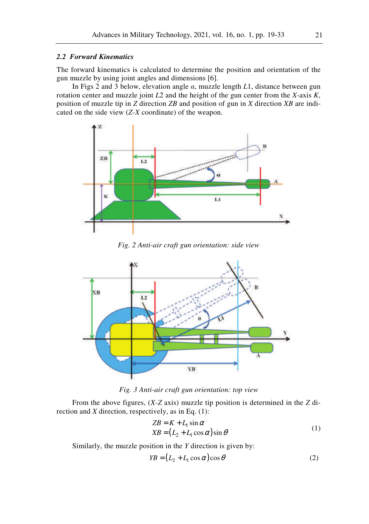### *2.2 Forward Kinematics*

The forward kinematics is calculated to determine the position and orientation of the gun muzzle by using joint angles and dimensions [6].

In Figs 2 and 3 below, elevation angle *α*, muzzle length *L*1, distance between gun rotation center and muzzle joint *L*2 and the height of the gun center from the *X*-axis *K*, position of muzzle tip in *Z* direction *ZB* and position of gun in *X* direction *XB* are indicated on the side view (*Z-X* coordinate) of the weapon.



*Fig. 2 Anti-air craft gun orientation: side view* 



*Fig. 3 Anti-air craft gun orientation: top view*

From the above figures, (*X-Z* axis) muzzle tip position is determined in the *Z* direction and *X* direction, respectively, as in Eq. (1):

$$
ZB = K + L_1 \sin \alpha
$$
  
\n
$$
XB = (L_2 + L_1 \cos \alpha) \sin \theta
$$
 (1)

Similarly, the muzzle position in the *Y* direction is given by:

$$
YB = (L_2 + L_1 \cos \alpha) \cos \theta \tag{2}
$$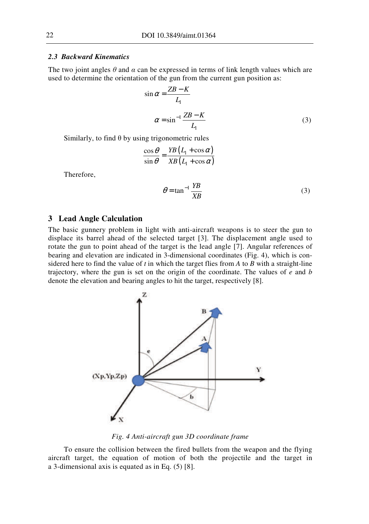### *2.3 Backward Kinematics*

The two joint angles  $\theta$  and  $\alpha$  can be expressed in terms of link length values which are used to determine the orientation of the gun from the current gun position as:

$$
\sin \alpha = \frac{ZB - K}{L_1}
$$
  

$$
\alpha = \sin^{-1} \frac{ZB - K}{L_1}
$$
 (3)

Similarly, to find  $\theta$  by using trigonometric rules

$$
\frac{\cos\theta}{\sin\theta} = \frac{YB(L_1 + \cos\alpha)}{XB(L_1 + \cos\alpha)}
$$

Therefore,

$$
\theta = \tan^{-1} \frac{YB}{XB}
$$
 (3)

#### **3 Lead Angle Calculation**

The basic gunnery problem in light with anti-aircraft weapons is to steer the gun to displace its barrel ahead of the selected target [3]. The displacement angle used to rotate the gun to point ahead of the target is the lead angle [7]. Angular references of bearing and elevation are indicated in 3-dimensional coordinates (Fig. 4), which is considered here to find the value of *t* in which the target flies from *A* to *B* with a straight-line trajectory, where the gun is set on the origin of the coordinate. The values of *e* and *b* denote the elevation and bearing angles to hit the target, respectively [8].



*Fig. 4 Anti-aircraft gun 3D coordinate frame*

To ensure the collision between the fired bullets from the weapon and the flying aircraft target, the equation of motion of both the projectile and the target in a 3-dimensional axis is equated as in Eq. (5) [8].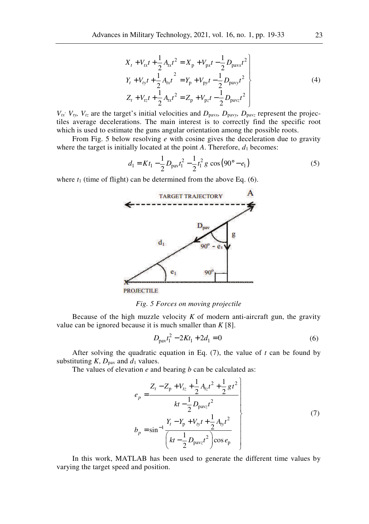$$
X_{t} + V_{tx}t + \frac{1}{2}A_{tx}t^{2} = X_{p} + V_{px}t - \frac{1}{2}D_{pavx}t^{2}
$$
  
\n
$$
Y_{t} + V_{ty}t + \frac{1}{2}A_{tx}t^{2} = Y_{p} + V_{py}t - \frac{1}{2}D_{pavy}t^{2}
$$
  
\n
$$
Z_{t} + V_{tz}t + \frac{1}{2}A_{tx}t^{2} = Z_{p} + V_{pz}t - \frac{1}{2}D_{pavz}t^{2}
$$
\n(4)

 $V_{tx}$ ,  $V_{ty}$ ,  $V_{tz}$  are the target's initial velocities and  $D_{\text{pavx}}$ *,*  $D_{\text{pavy}}$ *,*  $D_{\text{pavz}}$  represent the projectiles average decelerations. The main interest is to correctly find the specific root which is used to estimate the guns angular orientation among the possible roots.

From Fig. 5 below resolving *e* with cosine gives the deceleration due to gravity where the target is initially located at the point  $A$ . Therefore,  $d_1$  becomes:

$$
d_1 = Kt_1 - \frac{1}{2}D_{\text{pav}}t_1^2 - \frac{1}{2}t_1^2 g \cos(90^\circ - e_1)
$$
 (5)

where  $t_1$  (time of flight) can be determined from the above Eq. (6).



*Fig. 5 Forces on moving projectile* 

Because of the high muzzle velocity  $K$  of modern anti-aircraft gun, the gravity value can be ignored because it is much smaller than *K* [8].

$$
D_{\text{pav}}t_1^2 - 2Kt_1 + 2d_1 = 0\tag{6}
$$

After solving the quadratic equation in Eq. (7), the value of *t* can be found by substituting  $K$ ,  $D_{\text{pav}}$  and  $d_1$  values.

The values of elevation *e* and bearing *b* can be calculated as:

$$
e_p = \frac{Z_t - Z_p + V_{tz} + \frac{1}{2}A_{tz}t^2 + \frac{1}{2}gt^2}{kt - \frac{1}{2}D_{\text{pav}z}t^2}
$$
  
\n
$$
b_p = \sin^{-1}\frac{Y_t - Y_p + V_{ty}t + \frac{1}{2}A_{ty}t^2}{\left(kt - \frac{1}{2}D_{\text{pav}z}t^2\right)\cos e_p}
$$
 (7)

In this work, MATLAB has been used to generate the different time values by varying the target speed and position.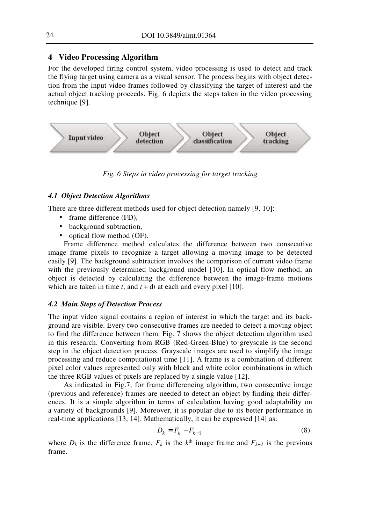# **4 Video Processing Algorithm**

For the developed firing control system, video processing is used to detect and track the flying target using camera as a visual sensor. The process begins with object detection from the input video frames followed by classifying the target of interest and the actual object tracking proceeds. Fig. 6 depicts the steps taken in the video processing technique [9].



*Fig. 6 Steps in video processing for target tracking* 

#### *4.1 Object Detection Algorithms*

There are three different methods used for object detection namely [9, 10]:

- frame difference (FD),
- background subtraction,
- optical flow method (OF).

Frame difference method calculates the difference between two consecutive image frame pixels to recognize a target allowing a moving image to be detected easily [9]. The background subtraction involves the comparison of current video frame with the previously determined background model [10]. In optical flow method, an object is detected by calculating the difference between the image-frame motions which are taken in time  $t$ , and  $t + dt$  at each and every pixel [10].

#### *4.2 Main Steps of Detection Process*

The input video signal contains a region of interest in which the target and its background are visible. Every two consecutive frames are needed to detect a moving object to find the difference between them. Fig. 7 shows the object detection algorithm used in this research. Converting from RGB (Red-Green-Blue) to greyscale is the second step in the object detection process. Grayscale images are used to simplify the image processing and reduce computational time [11]. A frame is a combination of different pixel color values represented only with black and white color combinations in which the three RGB values of pixels are replaced by a single value [12].

As indicated in Fig.7, for frame differencing algorithm, two consecutive image (previous and reference) frames are needed to detect an object by finding their differences. It is a simple algorithm in terms of calculation having good adaptability on a variety of backgrounds [9]. Moreover, it is popular due to its better performance in real-time applications [13, 14]. Mathematically, it can be expressed [14] as:

$$
D_k = F_k - F_{k-1} \tag{8}
$$

where  $D_k$  is the difference frame,  $F_k$  is the  $k^{\text{th}}$  image frame and  $F_{k-1}$  is the previous frame.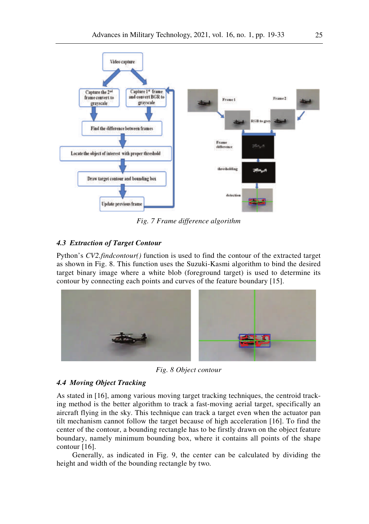

*Fig. 7 Frame difference algorithm* 

## *4.3 Extraction of Target Contour*

Python's *CV2.findcontour()* function is used to find the contour of the extracted target as shown in Fig. 8. This function uses the Suzuki-Kasmi algorithm to bind the desired target binary image where a white blob (foreground target) is used to determine its contour by connecting each points and curves of the feature boundary [15].



*Fig. 8 Object contour* 

#### *4.4 Moving Object Tracking*

As stated in [16], among various moving target tracking techniques, the centroid tracking method is the better algorithm to track a fast-moving aerial target, specifically an aircraft flying in the sky. This technique can track a target even when the actuator pan tilt mechanism cannot follow the target because of high acceleration [16]. To find the center of the contour, a bounding rectangle has to be firstly drawn on the object feature boundary, namely minimum bounding box, where it contains all points of the shape contour [16].

Generally, as indicated in Fig. 9, the center can be calculated by dividing the height and width of the bounding rectangle by two*.*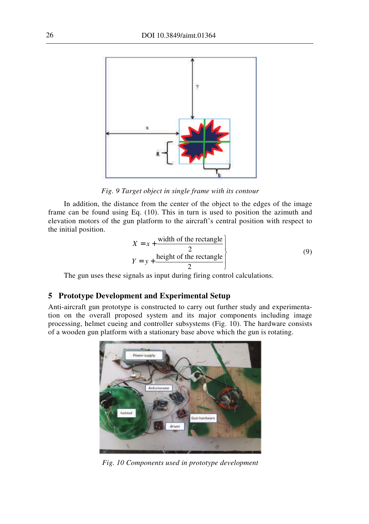

*Fig. 9 Target object in single frame with its contour* 

In addition, the distance from the center of the object to the edges of the image frame can be found using Eq. (10). This in turn is used to position the azimuth and elevation motors of the gun platform to the aircraft's central position with respect to the initial position.

$$
X = x + \frac{\text{width of the rectangle}}{2}
$$
  
 
$$
Y = y + \frac{\text{height of the rectangle}}{2}
$$
 (9)

The gun uses these signals as input during firing control calculations.

## **5 Prototype Development and Experimental Setup**

Anti-aircraft gun prototype is constructed to carry out further study and experimentation on the overall proposed system and its major components including image processing, helmet cueing and controller subsystems (Fig. 10). The hardware consists of a wooden gun platform with a stationary base above which the gun is rotating.



*Fig. 10 Components used in prototype development*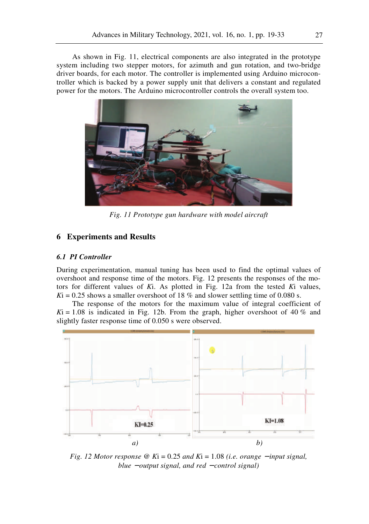As shown in Fig. 11, electrical components are also integrated in the prototype system including two stepper motors, for azimuth and gun rotation, and two-bridge driver boards, for each motor. The controller is implemented using Arduino microcontroller which is backed by a power supply unit that delivers a constant and regulated power for the motors. The Arduino microcontroller controls the overall system too.



*Fig. 11 Prototype gun hardware with model aircraft* 

## **6 Experiments and Results**

#### *6.1 PI Controller*

During experimentation, manual tuning has been used to find the optimal values of overshoot and response time of the motors. Fig. 12 presents the responses of the motors for different values of *K*i. As plotted in Fig. 12a from the tested *K*i values,  $Ki = 0.25$  shows a smaller overshoot of 18 % and slower settling time of 0.080 s.

The response of the motors for the maximum value of integral coefficient of  $Ki = 1.08$  is indicated in Fig. 12b. From the graph, higher overshoot of 40 % and slightly faster response time of 0.050 s were observed.



*Fig. 12 Motor response* @  $Ki = 0.25$  *and*  $Ki = 1.08$  (*i.e. orange − input signal, blue* − *output signal, and red* − *control signal)*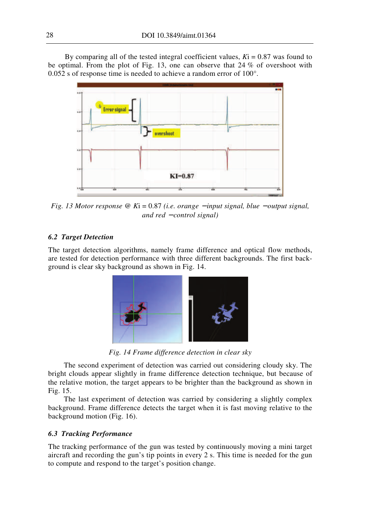By comparing all of the tested integral coefficient values,  $Ki = 0.87$  was found to be optimal. From the plot of Fig. 13, one can observe that 24 % of overshoot with 0.052 s of response time is needed to achieve a random error of 100°.



*Fig. 13 Motor response* @ *K*i = 0.87 (i.e. orange − *input signal, blue − output signal, and red* − *control signal)* 

# *6.2 Target Detection*

The target detection algorithms, namely frame difference and optical flow methods, are tested for detection performance with three different backgrounds. The first background is clear sky background as shown in Fig. 14.



*Fig. 14 Frame difference detection in clear sky* 

The second experiment of detection was carried out considering cloudy sky. The bright clouds appear slightly in frame difference detection technique, but because of the relative motion, the target appears to be brighter than the background as shown in Fig. 15.

The last experiment of detection was carried by considering a slightly complex background. Frame difference detects the target when it is fast moving relative to the background motion (Fig. 16).

# *6.3 Tracking Performance*

The tracking performance of the gun was tested by continuously moving a mini target aircraft and recording the gun's tip points in every 2 s. This time is needed for the gun to compute and respond to the target's position change.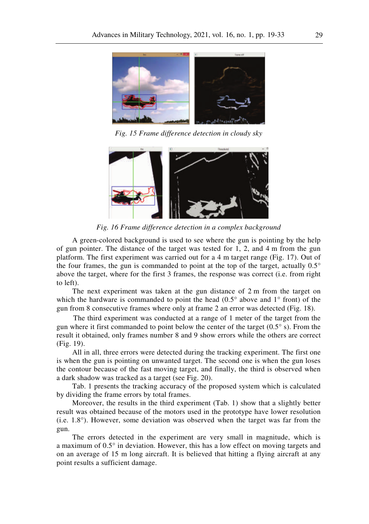

*Fig. 15 Frame difference detection in cloudy sky* 



*Fig. 16 Frame difference detection in a complex background* 

A green-colored background is used to see where the gun is pointing by the help of gun pointer. The distance of the target was tested for 1, 2, and 4 m from the gun platform. The first experiment was carried out for a 4 m target range (Fig. 17). Out of the four frames, the gun is commanded to point at the top of the target, actually  $0.5^\circ$ above the target, where for the first 3 frames, the response was correct (i.e. from right to left).

The next experiment was taken at the gun distance of 2 m from the target on which the hardware is commanded to point the head (0.5° above and 1° front) of the gun from 8 consecutive frames where only at frame 2 an error was detected (Fig. 18).

The third experiment was conducted at a range of 1 meter of the target from the gun where it first commanded to point below the center of the target (0.5° s). From the result it obtained, only frames number 8 and 9 show errors while the others are correct (Fig. 19).

All in all, three errors were detected during the tracking experiment. The first one is when the gun is pointing on unwanted target. The second one is when the gun loses the contour because of the fast moving target, and finally, the third is observed when a dark shadow was tracked as a target (see Fig. 20).

Tab. 1 presents the tracking accuracy of the proposed system which is calculated by dividing the frame errors by total frames.

Moreover, the results in the third experiment (Tab. 1) show that a slightly better result was obtained because of the motors used in the prototype have lower resolution (i.e. 1.8°). However, some deviation was observed when the target was far from the gun.

The errors detected in the experiment are very small in magnitude, which is a maximum of 0.5° in deviation. However, this has a low effect on moving targets and on an average of 15 m long aircraft. It is believed that hitting a flying aircraft at any point results a sufficient damage.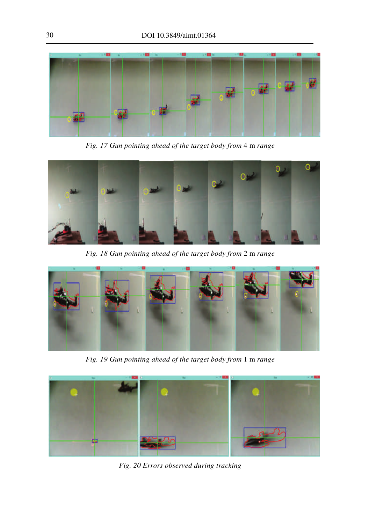

*Fig. 17 Gun pointing ahead of the target body from* 4 m *range*



*Fig. 18 Gun pointing ahead of the target body from* 2 m *range*



*Fig. 19 Gun pointing ahead of the target body from* 1 m *range*



*Fig. 20 Errors observed during tracking*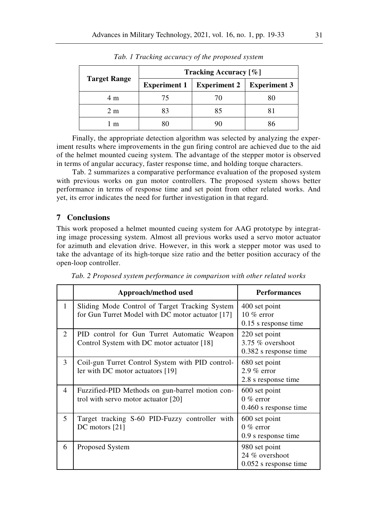| <b>Target Range</b> | Tracking Accuracy [%] |                     |                     |
|---------------------|-----------------------|---------------------|---------------------|
|                     | Experiment $1$        | <b>Experiment 2</b> | <b>Experiment 3</b> |
| 4 m                 |                       |                     |                     |
| 2m                  |                       | 85                  |                     |
| m                   |                       |                     |                     |

*Tab. 1 Tracking accuracy of the proposed system*

Finally, the appropriate detection algorithm was selected by analyzing the experiment results where improvements in the gun firing control are achieved due to the aid of the helmet mounted cueing system. The advantage of the stepper motor is observed in terms of angular accuracy, faster response time, and holding torque characters.

Tab. 2 summarizes a comparative performance evaluation of the proposed system with previous works on gun motor controllers. The proposed system shows better performance in terms of response time and set point from other related works. And yet, its error indicates the need for further investigation in that regard.

#### **7 Conclusions**

This work proposed a helmet mounted cueing system for AAG prototype by integrating image processing system. Almost all previous works used a servo motor actuator for azimuth and elevation drive. However, in this work a stepper motor was used to take the advantage of its high-torque size ratio and the better position accuracy of the open-loop controller.

|                             | Approach/method used                                                                               | <b>Performances</b>                                          |
|-----------------------------|----------------------------------------------------------------------------------------------------|--------------------------------------------------------------|
| 1                           | Sliding Mode Control of Target Tracking System<br>for Gun Turret Model with DC motor actuator [17] | 400 set point<br>10 $%$ error<br>0.15 s response time        |
| $\mathcal{D}_{\mathcal{L}}$ | PID control for Gun Turret Automatic Weapon<br>Control System with DC motor actuator [18]          | 220 set point<br>$3.75\%$ overshoot<br>0.382 s response time |
| 3                           | Coil-gun Turret Control System with PID control-<br>ler with DC motor actuators [19]               | 680 set point<br>$2.9\%$ error<br>2.8 s response time        |
| 4                           | Fuzzified-PID Methods on gun-barrel motion con-<br>trol with servo motor actuator [20]             | 600 set point<br>$0\%$ error<br>$0.460$ s response time      |
| 5                           | Target tracking S-60 PID-Fuzzy controller with<br>$DC$ motors $[21]$                               | 600 set point<br>$0\%$ error<br>0.9 s response time          |
| 6                           | Proposed System                                                                                    | 980 set point<br>24 % overshoot<br>$0.052$ s response time   |

*Tab. 2 Proposed system performance in comparison with other related works*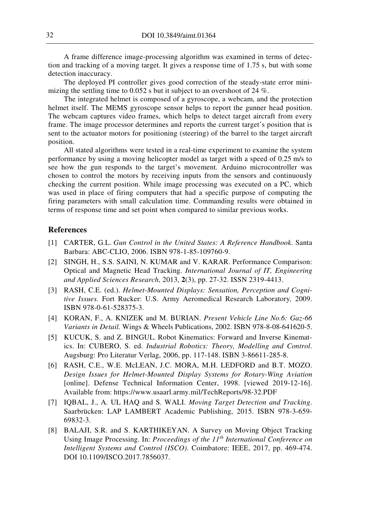A frame difference image-processing algorithm was examined in terms of detection and tracking of a moving target. It gives a response time of 1.75 s, but with some detection inaccuracy.

The deployed PI controller gives good correction of the steady-state error minimizing the settling time to 0.052 s but it subject to an overshoot of 24 %.

The integrated helmet is composed of a gyroscope, a webcam, and the protection helmet itself. The MEMS gyroscope sensor helps to report the gunner head position. The webcam captures video frames, which helps to detect target aircraft from every frame. The image processor determines and reports the current target's position that is sent to the actuator motors for positioning (steering) of the barrel to the target aircraft position.

All stated algorithms were tested in a real-time experiment to examine the system performance by using a moving helicopter model as target with a speed of 0.25 m/s to see how the gun responds to the target's movement. Arduino microcontroller was chosen to control the motors by receiving inputs from the sensors and continuously checking the current position. While image processing was executed on a PC, which was used in place of firing computers that had a specific purpose of computing the firing parameters with small calculation time. Commanding results were obtained in terms of response time and set point when compared to similar previous works.

#### **References**

- [1] CARTER, G.L. *Gun Control in the United States: A Reference Handbook*. Santa Barbara: ABC-CLIO, 2006. ISBN 978-1-85-109760-9.
- [2] SINGH, H., S.S. SAINI, N. KUMAR and V. KARAR. Performance Comparison: Optical and Magnetic Head Tracking. *International Journal of IT, Engineering and Applied Sciences Research*, 2013, **2**(3), pp. 27-32. ISSN 2319-4413.
- [3] RASH, C.E. (ed.). *Helmet-Mounted Displays: Sensation, Perception and Cognitive Issues.* Fort Rucker: U.S. Army Aeromedical Research Laboratory*,* 2009. ISBN 978-0-61-528375-3.
- [4] KORAN, F., A. KNIZEK and M. BURIAN. *Present Vehicle Line No.6: Gaz-66 Variants in Detail.* Wings & Wheels Publications, 2002. ISBN 978-8-08-641620-5.
- [5] KUCUK, S. and Z. BINGUL. Robot Kinematics: Forward and Inverse Kinematics. In: CUBERO, S. ed. *Industrial Robotics: Theory, Modelling and Control*. Augsburg: Pro Literatur Verlag, 2006, pp. 117-148. ISBN 3-86611-285-8.
- [6] RASH, C.E., W.E. McLEAN, J.C. MORA, M.H. LEDFORD and B.T. MOZO. *Design Issues for Helmet-Mounted Display Systems for Rotary-Wing Aviation* [online]. Defense Technical Information Center, 1998. [viewed 2019-12-16]. Available from: https://www.usaarl.army.mil/TechReports/98-32.PDF
- [7] IQBAL, J., A. UL HAQ and S. WALI. *Moving Target Detection and Tracking*. Saarbrücken: LAP LAMBERT Academic Publishing, 2015. ISBN 978-3-659- 69832-3.
- [8] BALAJI, S.R. and S. KARTHIKEYAN. A Survey on Moving Object Tracking Using Image Processing. In: *Proceedings of the 11th International Conference on Intelligent Systems and Control (ISCO)*. Coimbatore: IEEE, 2017, pp. 469-474. DOI 10.1109/ISCO.2017.7856037.